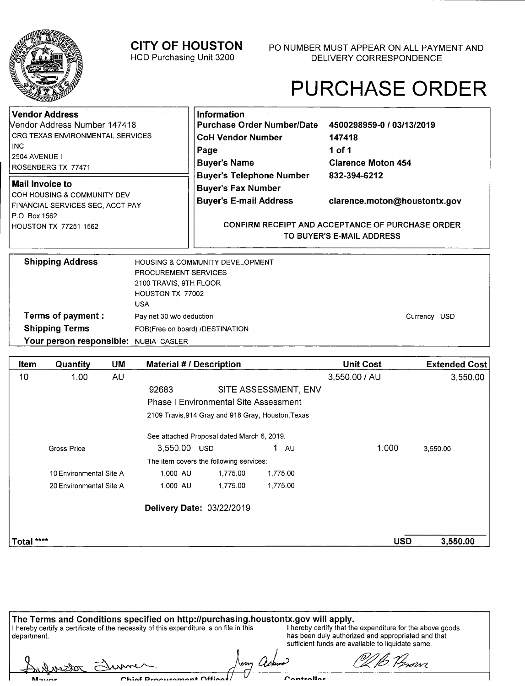

Mover

**CITY OF HOUSTON** 

HCD Purchasing Unit 3200

P0 NUMBER MUST APPEAR ON ALL PAYMENT AND DELIVERY CORRESPONDENCE

# PURCHASE ORDER

| Vendor Address                                           | Information                                                                          |                              |  |
|----------------------------------------------------------|--------------------------------------------------------------------------------------|------------------------------|--|
| Nendor Address Number 147418                             | <b>Purchase Order Number/Date</b>                                                    | 4500298959-0 / 03/13/2019    |  |
| CRG TEXAS ENVIRONMENTAL SERVICES                         | <b>CoH Vendor Number</b>                                                             | 147418                       |  |
| l inc.                                                   | Page                                                                                 | 1 of 1                       |  |
| l 2504 AVENUE I<br>ROSENBERG TX 77471                    | <b>Buyer's Name</b>                                                                  | <b>Clarence Moton 454</b>    |  |
| Mail Invoice to<br>COH HOUSING & COMMUNITY DEV           | <b>Buyer's Telephone Number</b><br><b>Buyer's Fax Number</b>                         | 832-394-6212                 |  |
| <b>FINANCIAL SERVICES SEC, ACCT PAY</b><br>P.O. Box 1562 | <b>Buyer's E-mail Address</b>                                                        | clarence.moton@houstontx.gov |  |
| HOUSTON TX 77251-1562                                    | <b>CONFIRM RECEIPT AND ACCEPTANCE OF PURCHASE ORDER</b><br>TO BUYER'S E-MAIL ADDRESS |                              |  |

| <b>Shipping Address</b>               | <b>HOUSING &amp; COMMUNITY DEVELOPMENT</b> |              |
|---------------------------------------|--------------------------------------------|--------------|
|                                       | <b>PROCUREMENT SERVICES</b>                |              |
|                                       | 2100 TRAVIS, 9TH FLOOR                     |              |
|                                       | HOUSTON TX 77002                           |              |
|                                       | USA                                        |              |
| Terms of payment :                    | Pay net 30 w/o deduction                   | Currency USD |
| <b>Shipping Terms</b>                 | FOB(Free on board) /DESTINATION            |              |
| Your person responsible: NUBIA CASLER |                                            |              |

| ltem       | Quantity                | UM        | <b>Material #/ Description</b>                     |          |                      | <b>Unit Cost</b> | <b>Extended Cost</b> |
|------------|-------------------------|-----------|----------------------------------------------------|----------|----------------------|------------------|----------------------|
| 10         | 1.00                    | <b>AU</b> |                                                    |          |                      | 3,550.00 / AU    | 3,550.00             |
|            |                         |           | 92683                                              |          | SITE ASSESSMENT, ENV |                  |                      |
|            |                         |           | <b>Phase I Environmental Site Assessment</b>       |          |                      |                  |                      |
|            |                         |           | 2109 Travis, 914 Gray and 918 Gray, Houston, Texas |          |                      |                  |                      |
|            |                         |           | See attached Proposal dated March 6, 2019.         |          |                      |                  |                      |
|            | Gross Price             |           | 3,550.00 USD                                       |          | 1.<br><b>AU</b>      | 1.000            | 3,550.00             |
|            |                         |           | The item covers the following services:            |          |                      |                  |                      |
|            | 10 Environmental Site A |           | 1.000 AU                                           | 1,775.00 | 1,775.00             |                  |                      |
|            | 20 Environmental Site A |           | 1.000 AU                                           | 1,775.00 | 1,775.00             |                  |                      |
|            |                         |           | Delivery Date: 03/22/2019                          |          |                      |                  |                      |
| Total **** |                         |           |                                                    |          |                      | <b>USD</b>       | 3,550.00             |

| The Terms and Conditions specified on http://purchasing.houstontx.gov will apply.                       |                                                                                                                                                                      |
|---------------------------------------------------------------------------------------------------------|----------------------------------------------------------------------------------------------------------------------------------------------------------------------|
| I hereby certify a certificate of the necessity of this expenditure is on file in this<br>l department. | I hereby certify that the expenditure for the above goods<br>has been duly authorized and appropriated and that<br>sufficient funds are available to liquidate same. |
| Aulnector Elumer                                                                                        | Of B. Provi                                                                                                                                                          |

Controllor

Chinf Droouramant Offices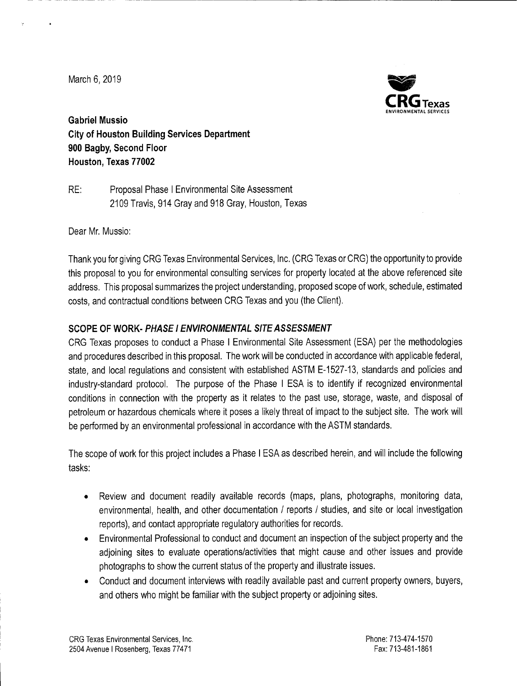March 6, 2019



**Gabriel Mussio City of Houston Building Services Department 900 Bagby, Second Floor Houston, Texas 77002** 

RE: Proposal Phase I Environmental Site Assessment 2109 Travis, 914 Gray and 918 Gray, Houston, Texas

Dear Mr. Mussio:

Thank you for giving ORG Texas Environmental Services, Inc. (ORG Texas or CRG) the opportunity to provide this proposal to you for environmental consulting services for property located at the above referenced site address. This proposal summarizes the project understanding, proposed scope of work, schedule, estimated costs, and contractual conditions between ORG Texas and you (the Client).

## **SCOPE OF WORK- PHASE! ENVIRONMENTAL SITE ASSESSMENT**

ORG Texas proposes to conduct a Phase I Environmental Site Assessment (ESA) per the methodologies and procedures described in this proposal. The work will be conducted in accordance with applicable federal, state, and local regulations and consistent with established ASTM E-1527-13, standards and policies and industry-standard protocol. The purpose of the Phase I ESA is to identify if recognized environmental conditions in connection with the property as it relates to the past use, storage, waste, and disposal of petroleum or hazardous chemicals where it poses a likely threat of impact to the subject site. The work will be performed by an environmental professional in accordance with the ASTM standards.

The scope of work for this project includes a Phase I ESA as described herein, and will include the following tasks:

- Review and document readily available records (maps, plans, photographs, monitoring data, environmental, health, and other documentation / reports / studies, and site or local investigation reports), and contact appropriate regulatory authorities for records.
- Environmental Professional to conduct and document an inspection of the subject property and the adjoining sites to evaluate operations/activities that might cause and other issues and provide photographs to show the current status of the property and illustrate issues.
- Conduct and document interviews with readily available past and current property owners, buyers, and others who might be familiar with the subject property or adjoining sites.